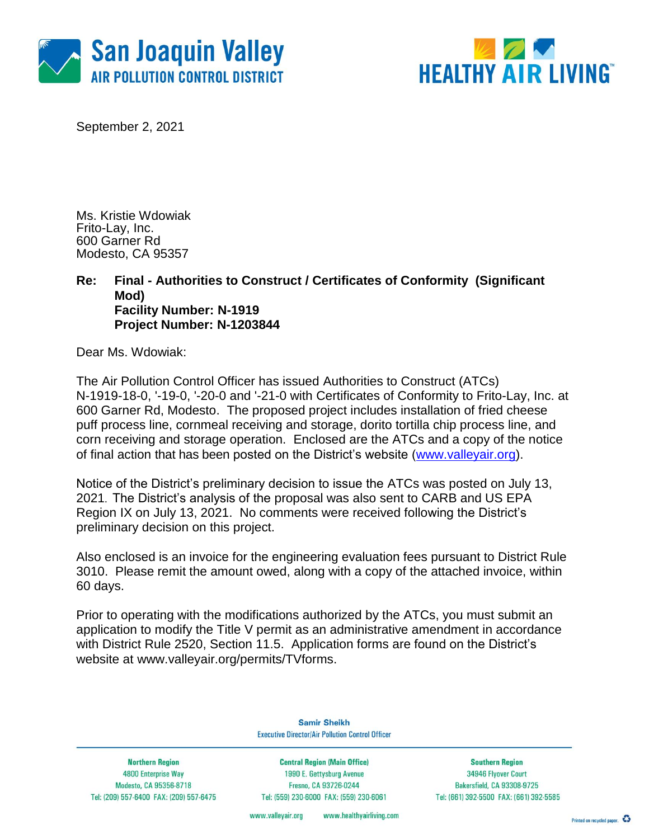



September 2, 2021

Ms. Kristie Wdowiak Frito-Lay, Inc. 600 Garner Rd Modesto, CA 95357

### **Re: Final - Authorities to Construct / Certificates of Conformity (Significant Mod) Facility Number: N-1919 Project Number: N-1203844**

Dear Ms. Wdowiak:

The Air Pollution Control Officer has issued Authorities to Construct (ATCs) N-1919-18-0, '-19-0, '-20-0 and '-21-0 with Certificates of Conformity to Frito-Lay, Inc. at 600 Garner Rd, Modesto. The proposed project includes installation of fried cheese puff process line, cornmeal receiving and storage, dorito tortilla chip process line, and corn receiving and storage operation. Enclosed are the ATCs and a copy of the notice of final action that has been posted on the District's website [\(www.valleyair.org\)](http://www.valleyair.org/).

Notice of the District's preliminary decision to issue the ATCs was posted on July 13, 2021. The District's analysis of the proposal was also sent to CARB and US EPA Region IX on July 13, 2021. No comments were received following the District's preliminary decision on this project.

Also enclosed is an invoice for the engineering evaluation fees pursuant to District Rule 3010. Please remit the amount owed, along with a copy of the attached invoice, within 60 days.

Prior to operating with the modifications authorized by the ATCs, you must submit an application to modify the Title V permit as an administrative amendment in accordance with District Rule 2520, Section 11.5. Application forms are found on the District's website at [www.valleyair.org/permits/TVforms.](http://www.valleyair.org/permits/TVforms)

> **Samir Sheikh Executive Director/Air Pollution Control Officer**

**Northern Region** 4800 Enterprise Way Modesto, CA 95356-8718 Tel: (209) 557-6400 FAX: (209) 557-6475

**Central Region (Main Office)** 1990 E. Gettysburg Avenue Fresno, CA 93726-0244 Tel: (559) 230-6000 FAX: (559) 230-6061

**Southern Region** 34946 Flyover Court **Bakersfield, CA 93308-9725** Tel: (661) 392-5500 FAX: (661) 392-5585

www.healthyairliving.com www.valleyair.org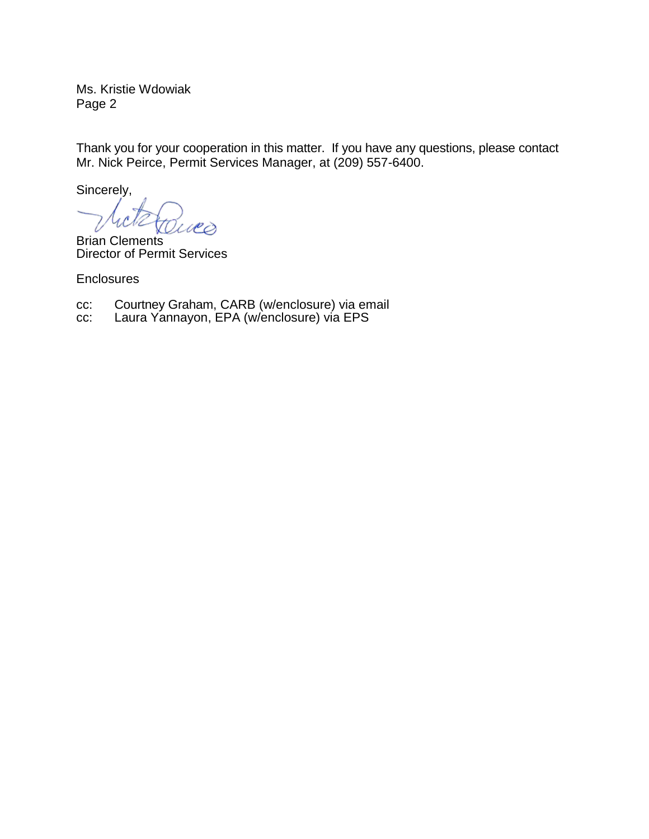Ms. Kristie Wdowiak Page 2

Thank you for your cooperation in this matter. If you have any questions, please contact Mr. Nick Peirce, Permit Services Manager, at (209) 557-6400.

Sincerely,

Ϙ

Brian Clements Director of Permit Services

**Enclosures** 

cc: Courtney Graham, CARB (w/enclosure) via email

cc: Laura Yannayon, EPA (w/enclosure) via EPS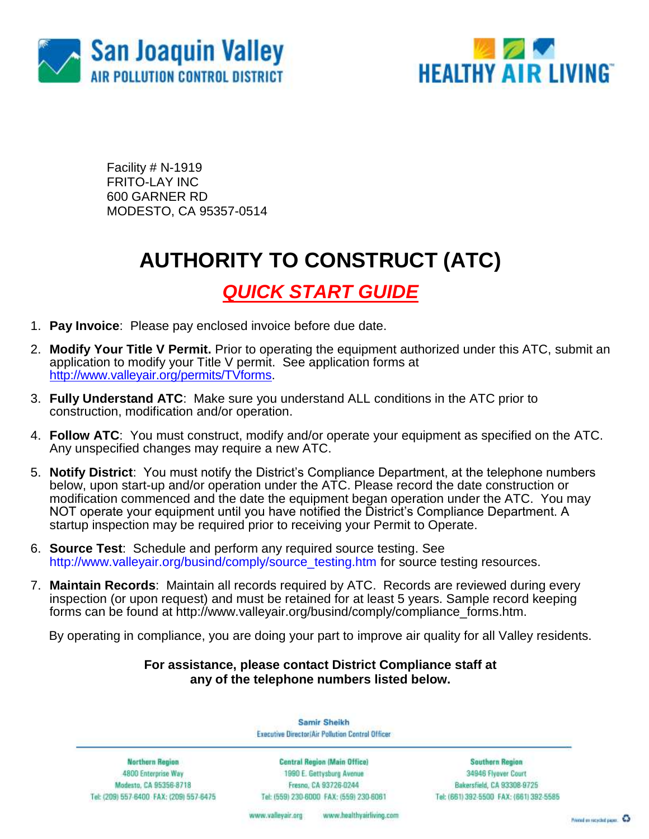



Facility # N-1919 FRITO-LAY INC 600 GARNER RD MODESTO, CA 95357-0514

# **AUTHORITY TO CONSTRUCT (ATC)**

## *QUICK START GUIDE*

- 1. **Pay Invoice**: Please pay enclosed invoice before due date.
- 2. **Modify Your Title V Permit.** Prior to operating the equipment authorized under this ATC, submit an application to modify your Title V permit. See application forms at [http://www.valleyair.org/permits/TVforms.](http://www.valleyair.org/permits/TVforms)
- 3. **Fully Understand ATC**: Make sure you understand ALL conditions in the ATC prior to construction, modification and/or operation.
- 4. **Follow ATC**: You must construct, modify and/or operate your equipment as specified on the ATC. Any unspecified changes may require a new ATC.
- 5. **Notify District**: You must notify the District's Compliance Department, at the telephone numbers below, upon start-up and/or operation under the ATC. Please record the date construction or modification commenced and the date the equipment began operation under the ATC. You may NOT operate your equipment until you have notified the District's Compliance Department. A startup inspection may be required prior to receiving your Permit to Operate.
- 6. **Source Test**:Schedule and perform any required source testing. See [http://www.valleyair.org/busind/comply/source\\_testing.htm](http://www.valleyair.org/busind/comply/source_testing.htm) for source testing resources.
- 7. **Maintain Records**:Maintain all records required by ATC. Records are reviewed during every inspection (or upon request) and must be retained for at least 5 years. Sample record keeping forms can be found at http://www.valleyair.org/busind/comply/compliance\_forms.htm.

By operating in compliance, you are doing your part to improve air quality for all Valley residents.

## **For assistance, please contact District Compliance staff at any of the telephone numbers listed below.**

Samir Sheikh Executive Director/Air Pollution Control Officer

**Northern Region** 4800 Enterprise Way Modesto, CA 95356-8718 Tel: (209) 557-6400 FAX: (209) 557-6475

Central Region (Main Office) 1990 E. Gettysburg Avenue Fresna, CA 93726-0244 Tel: (559) 230-6000 FAX: (559) 230-6061

**Southern Region** 34946 Flyover Court Bakersfield, CA 93308-9725 Tel: (661) 392-5500 FAX: (661) 392-5585

www.bealthyairliving.com www.valleyair.org

Preced on recycled paper. 43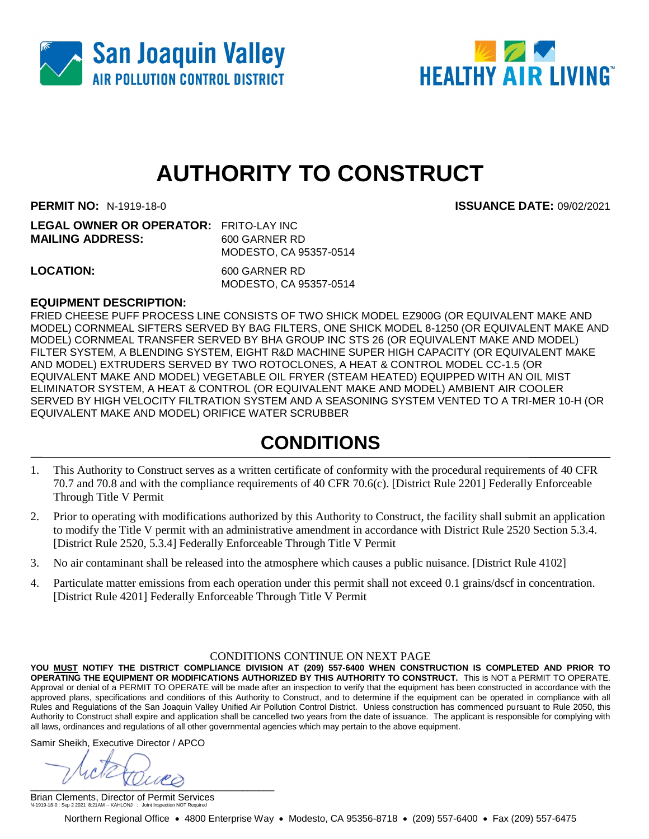



**PERMIT NO:** N-1919-18-0 **ISSUANCE DATE:** 09/02/2021

| <b>LEGAL OWNER OR OPERATOR: FRITO-LAY INC</b> |
|-----------------------------------------------|
| 600 GARNER RD                                 |
| MODESTO, CA 95357-0514                        |
|                                               |

**LOCATION:** 600 GARNER RD MODESTO, CA 95357-0514

### **EQUIPMENT DESCRIPTION:**

FRIED CHEESE PUFF PROCESS LINE CONSISTS OF TWO SHICK MODEL EZ900G (OR EQUIVALENT MAKE AND MODEL) CORNMEAL SIFTERS SERVED BY BAG FILTERS, ONE SHICK MODEL 8-1250 (OR EQUIVALENT MAKE AND MODEL) CORNMEAL TRANSFER SERVED BY BHA GROUP INC STS 26 (OR EQUIVALENT MAKE AND MODEL) FILTER SYSTEM, A BLENDING SYSTEM, EIGHT R&D MACHINE SUPER HIGH CAPACITY (OR EQUIVALENT MAKE AND MODEL) EXTRUDERS SERVED BY TWO ROTOCLONES, A HEAT & CONTROL MODEL CC-1.5 (OR EQUIVALENT MAKE AND MODEL) VEGETABLE OIL FRYER (STEAM HEATED) EQUIPPED WITH AN OIL MIST ELIMINATOR SYSTEM, A HEAT & CONTROL (OR EQUIVALENT MAKE AND MODEL) AMBIENT AIR COOLER SERVED BY HIGH VELOCITY FILTRATION SYSTEM AND A SEASONING SYSTEM VENTED TO A TRI-MER 10-H (OR EQUIVALENT MAKE AND MODEL) ORIFICE WATER SCRUBBER

## **CONDITIONS**

- 1. This Authority to Construct serves as a written certificate of conformity with the procedural requirements of 40 CFR 70.7 and 70.8 and with the compliance requirements of 40 CFR 70.6(c). [District Rule 2201] Federally Enforceable Through Title V Permit
- 2. Prior to operating with modifications authorized by this Authority to Construct, the facility shall submit an application to modify the Title V permit with an administrative amendment in accordance with District Rule 2520 Section 5.3.4. [District Rule 2520, 5.3.4] Federally Enforceable Through Title V Permit
- 3. No air contaminant shall be released into the atmosphere which causes a public nuisance. [District Rule 4102]
- 4. Particulate matter emissions from each operation under this permit shall not exceed 0.1 grains/dscf in concentration. [District Rule 4201] Federally Enforceable Through Title V Permit

#### CONDITIONS CONTINUE ON NEXT PAGE

**YOU MUST NOTIFY THE DISTRICT COMPLIANCE DIVISION AT (209) 557-6400 WHEN CONSTRUCTION IS COMPLETED AND PRIOR TO OPERATING THE EQUIPMENT OR MODIFICATIONS AUTHORIZED BY THIS AUTHORITY TO CONSTRUCT.** This is NOT a PERMIT TO OPERATE. Approval or denial of a PERMIT TO OPERATE will be made after an inspection to verify that the equipment has been constructed in accordance with the approved plans, specifications and conditions of this Authority to Construct, and to determine if the equipment can be operated in compliance with all Rules and Regulations of the San Joaquin Valley Unified Air Pollution Control District. Unless construction has commenced pursuant to Rule 2050, this Authority to Construct shall expire and application shall be cancelled two years from the date of issuance. The applicant is responsible for complying with all laws, ordinances and regulations of all other governmental agencies which may pertain to the above equipment.

Samir Sheikh, Executive Director / APCO

 $\frac{1}{2}$ 

Brian Clements, Director of Permit Services N-1919-18-0 : Sep 2 2021 8:21AM -- KAHLONJ : Joint Inspection NOT Required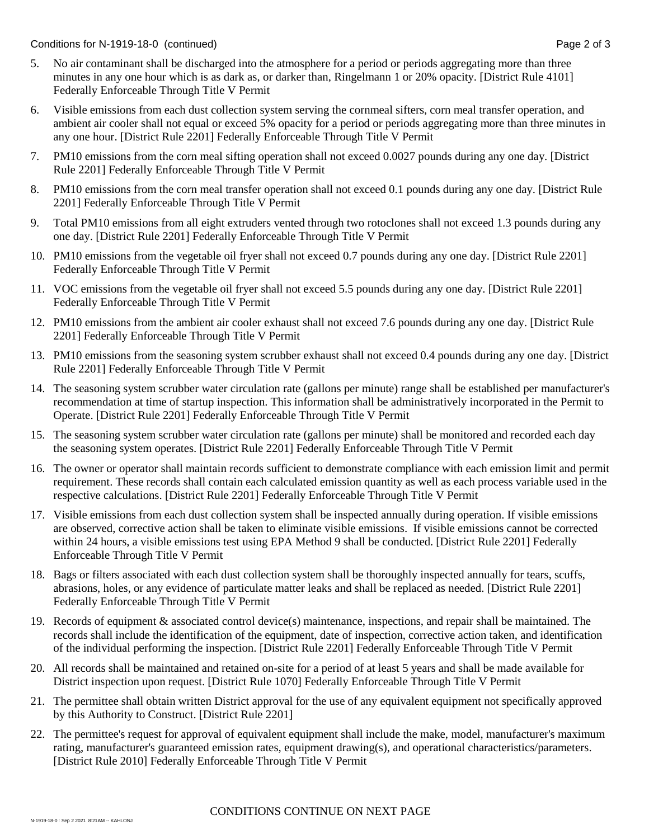Conditions for N-1919-18-0 (continued) Page 2 of 3

- 5. No air contaminant shall be discharged into the atmosphere for a period or periods aggregating more than three minutes in any one hour which is as dark as, or darker than, Ringelmann 1 or 20% opacity. [District Rule 4101] Federally Enforceable Through Title V Permit
- 6. Visible emissions from each dust collection system serving the cornmeal sifters, corn meal transfer operation, and ambient air cooler shall not equal or exceed 5% opacity for a period or periods aggregating more than three minutes in any one hour. [District Rule 2201] Federally Enforceable Through Title V Permit
- 7. PM10 emissions from the corn meal sifting operation shall not exceed 0.0027 pounds during any one day. [District Rule 2201] Federally Enforceable Through Title V Permit
- 8. PM10 emissions from the corn meal transfer operation shall not exceed 0.1 pounds during any one day. [District Rule 2201] Federally Enforceable Through Title V Permit
- 9. Total PM10 emissions from all eight extruders vented through two rotoclones shall not exceed 1.3 pounds during any one day. [District Rule 2201] Federally Enforceable Through Title V Permit
- 10. PM10 emissions from the vegetable oil fryer shall not exceed 0.7 pounds during any one day. [District Rule 2201] Federally Enforceable Through Title V Permit
- 11. VOC emissions from the vegetable oil fryer shall not exceed 5.5 pounds during any one day. [District Rule 2201] Federally Enforceable Through Title V Permit
- 12. PM10 emissions from the ambient air cooler exhaust shall not exceed 7.6 pounds during any one day. [District Rule 2201] Federally Enforceable Through Title V Permit
- 13. PM10 emissions from the seasoning system scrubber exhaust shall not exceed 0.4 pounds during any one day. [District Rule 2201] Federally Enforceable Through Title V Permit
- 14. The seasoning system scrubber water circulation rate (gallons per minute) range shall be established per manufacturer's recommendation at time of startup inspection. This information shall be administratively incorporated in the Permit to Operate. [District Rule 2201] Federally Enforceable Through Title V Permit
- 15. The seasoning system scrubber water circulation rate (gallons per minute) shall be monitored and recorded each day the seasoning system operates. [District Rule 2201] Federally Enforceable Through Title V Permit
- 16. The owner or operator shall maintain records sufficient to demonstrate compliance with each emission limit and permit requirement. These records shall contain each calculated emission quantity as well as each process variable used in the respective calculations. [District Rule 2201] Federally Enforceable Through Title V Permit
- 17. Visible emissions from each dust collection system shall be inspected annually during operation. If visible emissions are observed, corrective action shall be taken to eliminate visible emissions. If visible emissions cannot be corrected within 24 hours, a visible emissions test using EPA Method 9 shall be conducted. [District Rule 2201] Federally Enforceable Through Title V Permit
- 18. Bags or filters associated with each dust collection system shall be thoroughly inspected annually for tears, scuffs, abrasions, holes, or any evidence of particulate matter leaks and shall be replaced as needed. [District Rule 2201] Federally Enforceable Through Title V Permit
- 19. Records of equipment & associated control device(s) maintenance, inspections, and repair shall be maintained. The records shall include the identification of the equipment, date of inspection, corrective action taken, and identification of the individual performing the inspection. [District Rule 2201] Federally Enforceable Through Title V Permit
- 20. All records shall be maintained and retained on-site for a period of at least 5 years and shall be made available for District inspection upon request. [District Rule 1070] Federally Enforceable Through Title V Permit
- 21. The permittee shall obtain written District approval for the use of any equivalent equipment not specifically approved by this Authority to Construct. [District Rule 2201]
- 22. The permittee's request for approval of equivalent equipment shall include the make, model, manufacturer's maximum rating, manufacturer's guaranteed emission rates, equipment drawing(s), and operational characteristics/parameters. [District Rule 2010] Federally Enforceable Through Title V Permit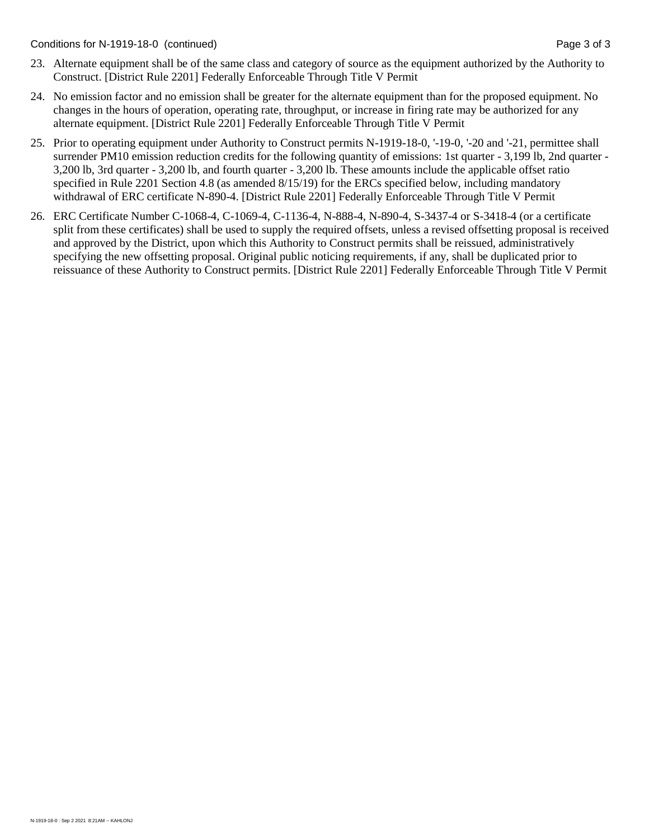Conditions for N-1919-18-0 (continued) Page 3 of 3

- 23. Alternate equipment shall be of the same class and category of source as the equipment authorized by the Authority to Construct. [District Rule 2201] Federally Enforceable Through Title V Permit
- 24. No emission factor and no emission shall be greater for the alternate equipment than for the proposed equipment. No changes in the hours of operation, operating rate, throughput, or increase in firing rate may be authorized for any alternate equipment. [District Rule 2201] Federally Enforceable Through Title V Permit
- 25. Prior to operating equipment under Authority to Construct permits N-1919-18-0, '-19-0, '-20 and '-21, permittee shall surrender PM10 emission reduction credits for the following quantity of emissions: 1st quarter - 3,199 lb, 2nd quarter - 3,200 lb, 3rd quarter - 3,200 lb, and fourth quarter - 3,200 lb. These amounts include the applicable offset ratio specified in Rule 2201 Section 4.8 (as amended  $8/15/19$ ) for the ERCs specified below, including mandatory withdrawal of ERC certificate N-890-4. [District Rule 2201] Federally Enforceable Through Title V Permit
- 26. ERC Certificate Number C-1068-4, C-1069-4, C-1136-4, N-888-4, N-890-4, S-3437-4 or S-3418-4 (or a certificate split from these certificates) shall be used to supply the required offsets, unless a revised offsetting proposal is received and approved by the District, upon which this Authority to Construct permits shall be reissued, administratively specifying the new offsetting proposal. Original public noticing requirements, if any, shall be duplicated prior to reissuance of these Authority to Construct permits. [District Rule 2201] Federally Enforceable Through Title V Permit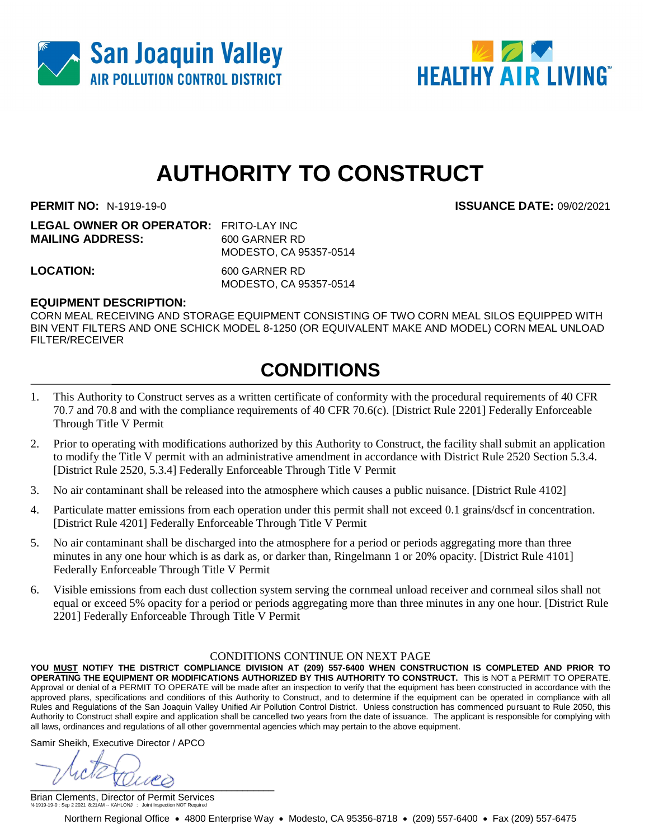



**PERMIT NO:** N-1919-19-0 **ISSUANCE DATE:** 09/02/2021

**LEGAL OWNER OR OPERATOR:** FRITO-LAY INC **MAILING ADDRESS:** 600 GARNER RD MODESTO, CA 95357-0514

**LOCATION:** 600 GARNER RD MODESTO, CA 95357-0514

### **EQUIPMENT DESCRIPTION:**

CORN MEAL RECEIVING AND STORAGE EQUIPMENT CONSISTING OF TWO CORN MEAL SILOS EQUIPPED WITH BIN VENT FILTERS AND ONE SCHICK MODEL 8-1250 (OR EQUIVALENT MAKE AND MODEL) CORN MEAL UNLOAD FILTER/RECEIVER

## **CONDITIONS**

- 1. This Authority to Construct serves as a written certificate of conformity with the procedural requirements of 40 CFR 70.7 and 70.8 and with the compliance requirements of 40 CFR 70.6(c). [District Rule 2201] Federally Enforceable Through Title V Permit
- 2. Prior to operating with modifications authorized by this Authority to Construct, the facility shall submit an application to modify the Title V permit with an administrative amendment in accordance with District Rule 2520 Section 5.3.4. [District Rule 2520, 5.3.4] Federally Enforceable Through Title V Permit
- 3. No air contaminant shall be released into the atmosphere which causes a public nuisance. [District Rule 4102]
- 4. Particulate matter emissions from each operation under this permit shall not exceed 0.1 grains/dscf in concentration. [District Rule 4201] Federally Enforceable Through Title V Permit
- 5. No air contaminant shall be discharged into the atmosphere for a period or periods aggregating more than three minutes in any one hour which is as dark as, or darker than, Ringelmann 1 or 20% opacity. [District Rule 4101] Federally Enforceable Through Title V Permit
- 6. Visible emissions from each dust collection system serving the cornmeal unload receiver and cornmeal silos shall not equal or exceed 5% opacity for a period or periods aggregating more than three minutes in any one hour. [District Rule 2201] Federally Enforceable Through Title V Permit

#### CONDITIONS CONTINUE ON NEXT PAGE

**YOU MUST NOTIFY THE DISTRICT COMPLIANCE DIVISION AT (209) 557-6400 WHEN CONSTRUCTION IS COMPLETED AND PRIOR TO OPERATING THE EQUIPMENT OR MODIFICATIONS AUTHORIZED BY THIS AUTHORITY TO CONSTRUCT.** This is NOT a PERMIT TO OPERATE. Approval or denial of a PERMIT TO OPERATE will be made after an inspection to verify that the equipment has been constructed in accordance with the approved plans, specifications and conditions of this Authority to Construct, and to determine if the equipment can be operated in compliance with all Rules and Regulations of the San Joaquin Valley Unified Air Pollution Control District. Unless construction has commenced pursuant to Rule 2050, this Authority to Construct shall expire and application shall be cancelled two years from the date of issuance. The applicant is responsible for complying with all laws, ordinances and regulations of all other governmental agencies which may pertain to the above equipment.

Samir Sheikh, Executive Director / APCO

 $\sim$   $\sim$   $\sim$   $\sim$ 

Brian Clements, Director of Permit Services N-1919-19-0 : Sep 2 2021 8:21AM -- KAHLONJ : Joint Inspection NOT Required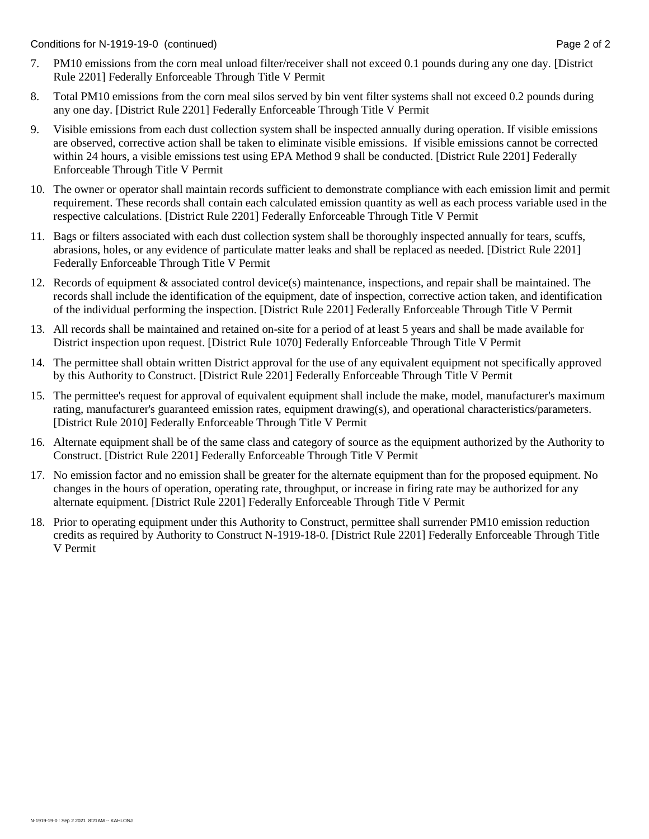- 7. PM10 emissions from the corn meal unload filter/receiver shall not exceed 0.1 pounds during any one day. [District Rule 2201] Federally Enforceable Through Title V Permit
- 8. Total PM10 emissions from the corn meal silos served by bin vent filter systems shall not exceed 0.2 pounds during any one day. [District Rule 2201] Federally Enforceable Through Title V Permit
- 9. Visible emissions from each dust collection system shall be inspected annually during operation. If visible emissions are observed, corrective action shall be taken to eliminate visible emissions. If visible emissions cannot be corrected within 24 hours, a visible emissions test using EPA Method 9 shall be conducted. [District Rule 2201] Federally Enforceable Through Title V Permit
- 10. The owner or operator shall maintain records sufficient to demonstrate compliance with each emission limit and permit requirement. These records shall contain each calculated emission quantity as well as each process variable used in the respective calculations. [District Rule 2201] Federally Enforceable Through Title V Permit
- 11. Bags or filters associated with each dust collection system shall be thoroughly inspected annually for tears, scuffs, abrasions, holes, or any evidence of particulate matter leaks and shall be replaced as needed. [District Rule 2201] Federally Enforceable Through Title V Permit
- 12. Records of equipment & associated control device(s) maintenance, inspections, and repair shall be maintained. The records shall include the identification of the equipment, date of inspection, corrective action taken, and identification of the individual performing the inspection. [District Rule 2201] Federally Enforceable Through Title V Permit
- 13. All records shall be maintained and retained on-site for a period of at least 5 years and shall be made available for District inspection upon request. [District Rule 1070] Federally Enforceable Through Title V Permit
- 14. The permittee shall obtain written District approval for the use of any equivalent equipment not specifically approved by this Authority to Construct. [District Rule 2201] Federally Enforceable Through Title V Permit
- 15. The permittee's request for approval of equivalent equipment shall include the make, model, manufacturer's maximum rating, manufacturer's guaranteed emission rates, equipment drawing(s), and operational characteristics/parameters. [District Rule 2010] Federally Enforceable Through Title V Permit
- 16. Alternate equipment shall be of the same class and category of source as the equipment authorized by the Authority to Construct. [District Rule 2201] Federally Enforceable Through Title V Permit
- 17. No emission factor and no emission shall be greater for the alternate equipment than for the proposed equipment. No changes in the hours of operation, operating rate, throughput, or increase in firing rate may be authorized for any alternate equipment. [District Rule 2201] Federally Enforceable Through Title V Permit
- 18. Prior to operating equipment under this Authority to Construct, permittee shall surrender PM10 emission reduction credits as required by Authority to Construct N-1919-18-0. [District Rule 2201] Federally Enforceable Through Title V Permit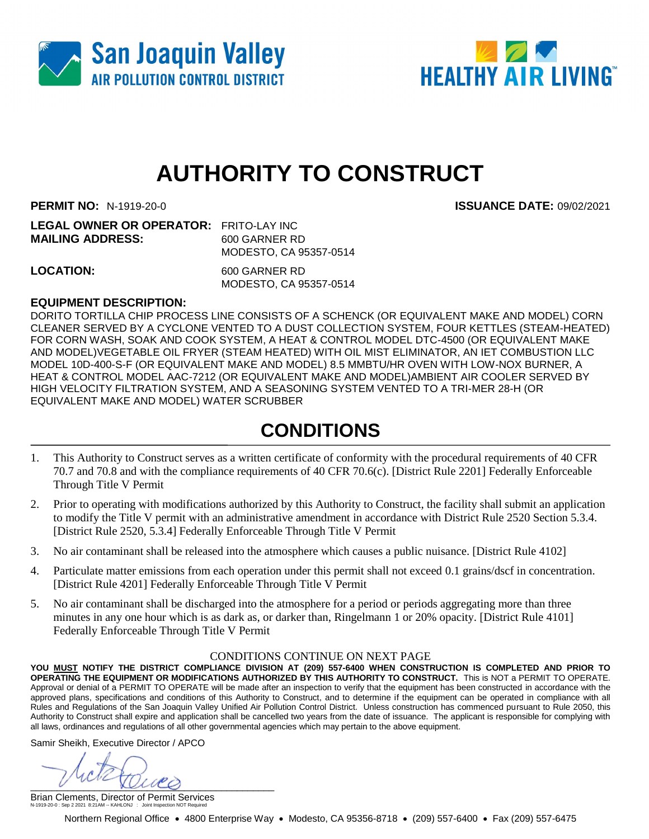



**PERMIT NO:** N-1919-20-0 **ISSUANCE DATE:** 09/02/2021

| <b>LEGAL OWNER OR OPERATOR: FRITO-LAY INC</b> |                        |
|-----------------------------------------------|------------------------|
| <b>MAILING ADDRESS:</b>                       | 600 GARNER RD          |
|                                               | MODESTO, CA 95357-0514 |
|                                               |                        |

**LOCATION:** 600 GARNER RD MODESTO, CA 95357-0514

### **EQUIPMENT DESCRIPTION:**

DORITO TORTILLA CHIP PROCESS LINE CONSISTS OF A SCHENCK (OR EQUIVALENT MAKE AND MODEL) CORN CLEANER SERVED BY A CYCLONE VENTED TO A DUST COLLECTION SYSTEM, FOUR KETTLES (STEAM-HEATED) FOR CORN WASH, SOAK AND COOK SYSTEM, A HEAT & CONTROL MODEL DTC-4500 (OR EQUIVALENT MAKE AND MODEL)VEGETABLE OIL FRYER (STEAM HEATED) WITH OIL MIST ELIMINATOR, AN IET COMBUSTION LLC MODEL 10D-400-S-F (OR EQUIVALENT MAKE AND MODEL) 8.5 MMBTU/HR OVEN WITH LOW-NOX BURNER, A HEAT & CONTROL MODEL AAC-7212 (OR EQUIVALENT MAKE AND MODEL)AMBIENT AIR COOLER SERVED BY HIGH VELOCITY FILTRATION SYSTEM, AND A SEASONING SYSTEM VENTED TO A TRI-MER 28-H (OR EQUIVALENT MAKE AND MODEL) WATER SCRUBBER

## **CONDITIONS**

- 1. This Authority to Construct serves as a written certificate of conformity with the procedural requirements of 40 CFR 70.7 and 70.8 and with the compliance requirements of 40 CFR 70.6(c). [District Rule 2201] Federally Enforceable Through Title V Permit
- 2. Prior to operating with modifications authorized by this Authority to Construct, the facility shall submit an application to modify the Title V permit with an administrative amendment in accordance with District Rule 2520 Section 5.3.4. [District Rule 2520, 5.3.4] Federally Enforceable Through Title V Permit
- 3. No air contaminant shall be released into the atmosphere which causes a public nuisance. [District Rule 4102]
- 4. Particulate matter emissions from each operation under this permit shall not exceed 0.1 grains/dscf in concentration. [District Rule 4201] Federally Enforceable Through Title V Permit
- 5. No air contaminant shall be discharged into the atmosphere for a period or periods aggregating more than three minutes in any one hour which is as dark as, or darker than, Ringelmann 1 or 20% opacity. [District Rule 4101] Federally Enforceable Through Title V Permit

#### CONDITIONS CONTINUE ON NEXT PAGE

**YOU MUST NOTIFY THE DISTRICT COMPLIANCE DIVISION AT (209) 557-6400 WHEN CONSTRUCTION IS COMPLETED AND PRIOR TO OPERATING THE EQUIPMENT OR MODIFICATIONS AUTHORIZED BY THIS AUTHORITY TO CONSTRUCT.** This is NOT a PERMIT TO OPERATE. Approval or denial of a PERMIT TO OPERATE will be made after an inspection to verify that the equipment has been constructed in accordance with the approved plans, specifications and conditions of this Authority to Construct, and to determine if the equipment can be operated in compliance with all Rules and Regulations of the San Joaquin Valley Unified Air Pollution Control District. Unless construction has commenced pursuant to Rule 2050, this Authority to Construct shall expire and application shall be cancelled two years from the date of issuance. The applicant is responsible for complying with all laws, ordinances and regulations of all other governmental agencies which may pertain to the above equipment.

Samir Sheikh, Executive Director / APCO

\_\_\_\_\_\_\_\_\_\_\_\_\_\_\_\_\_\_\_\_\_\_\_\_\_\_\_\_\_\_\_\_\_\_\_\_\_\_\_\_\_\_\_\_\_\_

Brian Clements, Director of Permit Services N-1919-20-0 : Sep 2 2021 8:21AM -- KAHLONJ : Joint Inspection NOT Required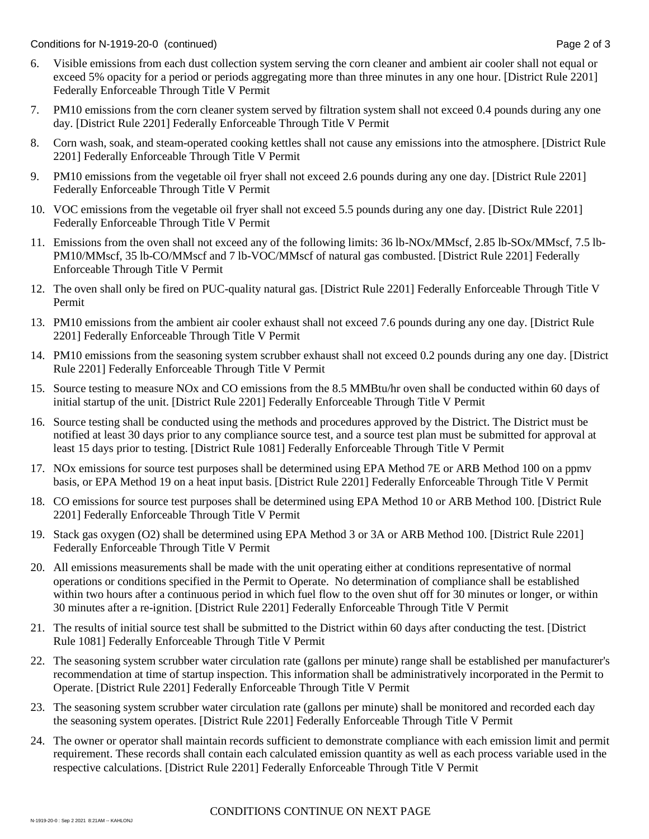Conditions for N-1919-20-0 (continued) Page 2 of 3

- 6. Visible emissions from each dust collection system serving the corn cleaner and ambient air cooler shall not equal or exceed 5% opacity for a period or periods aggregating more than three minutes in any one hour. [District Rule 2201] Federally Enforceable Through Title V Permit
- 7. PM10 emissions from the corn cleaner system served by filtration system shall not exceed 0.4 pounds during any one day. [District Rule 2201] Federally Enforceable Through Title V Permit
- 8. Corn wash, soak, and steam-operated cooking kettles shall not cause any emissions into the atmosphere. [District Rule 2201] Federally Enforceable Through Title V Permit
- 9. PM10 emissions from the vegetable oil fryer shall not exceed 2.6 pounds during any one day. [District Rule 2201] Federally Enforceable Through Title V Permit
- 10. VOC emissions from the vegetable oil fryer shall not exceed 5.5 pounds during any one day. [District Rule 2201] Federally Enforceable Through Title V Permit
- 11. Emissions from the oven shall not exceed any of the following limits: 36 lb-NOx/MMscf, 2.85 lb-SOx/MMscf, 7.5 lb-PM10/MMscf, 35 lb-CO/MMscf and 7 lb-VOC/MMscf of natural gas combusted. [District Rule 2201] Federally Enforceable Through Title V Permit
- 12. The oven shall only be fired on PUC-quality natural gas. [District Rule 2201] Federally Enforceable Through Title V Permit
- 13. PM10 emissions from the ambient air cooler exhaust shall not exceed 7.6 pounds during any one day. [District Rule 2201] Federally Enforceable Through Title V Permit
- 14. PM10 emissions from the seasoning system scrubber exhaust shall not exceed 0.2 pounds during any one day. [District Rule 2201] Federally Enforceable Through Title V Permit
- 15. Source testing to measure NOx and CO emissions from the 8.5 MMBtu/hr oven shall be conducted within 60 days of initial startup of the unit. [District Rule 2201] Federally Enforceable Through Title V Permit
- 16. Source testing shall be conducted using the methods and procedures approved by the District. The District must be notified at least 30 days prior to any compliance source test, and a source test plan must be submitted for approval at least 15 days prior to testing. [District Rule 1081] Federally Enforceable Through Title V Permit
- 17. NOx emissions for source test purposes shall be determined using EPA Method 7E or ARB Method 100 on a ppmv basis, or EPA Method 19 on a heat input basis. [District Rule 2201] Federally Enforceable Through Title V Permit
- 18. CO emissions for source test purposes shall be determined using EPA Method 10 or ARB Method 100. [District Rule 2201] Federally Enforceable Through Title V Permit
- 19. Stack gas oxygen (O2) shall be determined using EPA Method 3 or 3A or ARB Method 100. [District Rule 2201] Federally Enforceable Through Title V Permit
- 20. All emissions measurements shall be made with the unit operating either at conditions representative of normal operations or conditions specified in the Permit to Operate. No determination of compliance shall be established within two hours after a continuous period in which fuel flow to the oven shut off for 30 minutes or longer, or within 30 minutes after a re-ignition. [District Rule 2201] Federally Enforceable Through Title V Permit
- 21. The results of initial source test shall be submitted to the District within 60 days after conducting the test. [District Rule 1081] Federally Enforceable Through Title V Permit
- 22. The seasoning system scrubber water circulation rate (gallons per minute) range shall be established per manufacturer's recommendation at time of startup inspection. This information shall be administratively incorporated in the Permit to Operate. [District Rule 2201] Federally Enforceable Through Title V Permit
- 23. The seasoning system scrubber water circulation rate (gallons per minute) shall be monitored and recorded each day the seasoning system operates. [District Rule 2201] Federally Enforceable Through Title V Permit
- 24. The owner or operator shall maintain records sufficient to demonstrate compliance with each emission limit and permit requirement. These records shall contain each calculated emission quantity as well as each process variable used in the respective calculations. [District Rule 2201] Federally Enforceable Through Title V Permit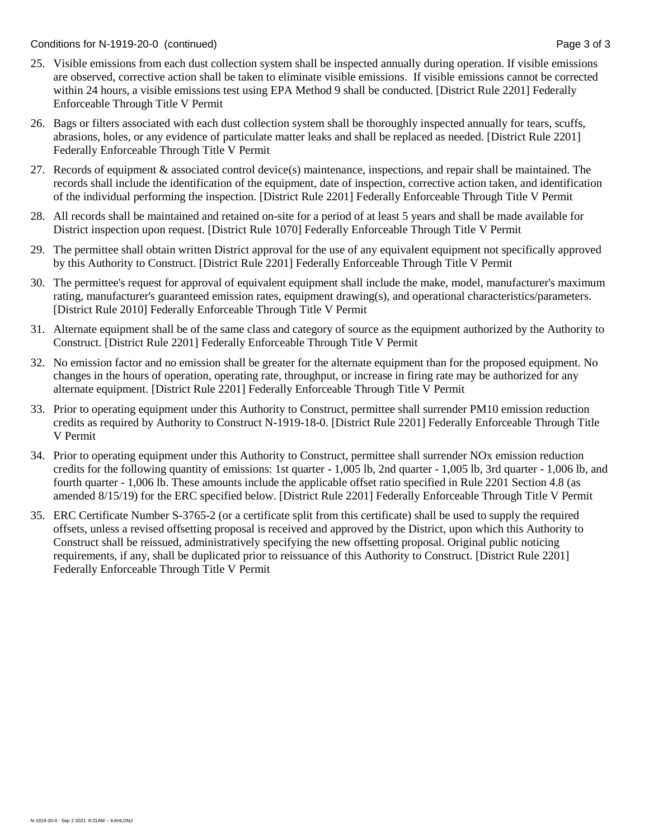Conditions for N-1919-20-0 (continued) Page 3 of 3

- 25. Visible emissions from each dust collection system shall be inspected annually during operation. If visible emissions are observed, corrective action shall be taken to eliminate visible emissions. If visible emissions cannot be corrected within 24 hours, a visible emissions test using EPA Method 9 shall be conducted. [District Rule 2201] Federally Enforceable Through Title V Permit
- 26. Bags or filters associated with each dust collection system shall be thoroughly inspected annually for tears, scuffs, abrasions, holes, or any evidence of particulate matter leaks and shall be replaced as needed. [District Rule 2201] Federally Enforceable Through Title V Permit
- 27. Records of equipment & associated control device(s) maintenance, inspections, and repair shall be maintained. The records shall include the identification of the equipment, date of inspection, corrective action taken, and identification of the individual performing the inspection. [District Rule 2201] Federally Enforceable Through Title V Permit
- 28. All records shall be maintained and retained on-site for a period of at least 5 years and shall be made available for District inspection upon request. [District Rule 1070] Federally Enforceable Through Title V Permit
- 29. The permittee shall obtain written District approval for the use of any equivalent equipment not specifically approved by this Authority to Construct. [District Rule 2201] Federally Enforceable Through Title V Permit
- 30. The permittee's request for approval of equivalent equipment shall include the make, model, manufacturer's maximum rating, manufacturer's guaranteed emission rates, equipment drawing(s), and operational characteristics/parameters. [District Rule 2010] Federally Enforceable Through Title V Permit
- 31. Alternate equipment shall be of the same class and category of source as the equipment authorized by the Authority to Construct. [District Rule 2201] Federally Enforceable Through Title V Permit
- 32. No emission factor and no emission shall be greater for the alternate equipment than for the proposed equipment. No changes in the hours of operation, operating rate, throughput, or increase in firing rate may be authorized for any alternate equipment. [District Rule 2201] Federally Enforceable Through Title V Permit
- 33. Prior to operating equipment under this Authority to Construct, permittee shall surrender PM10 emission reduction credits as required by Authority to Construct N-1919-18-0. [District Rule 2201] Federally Enforceable Through Title V Permit
- 34. Prior to operating equipment under this Authority to Construct, permittee shall surrender NOx emission reduction credits for the following quantity of emissions: 1st quarter - 1,005 lb, 2nd quarter - 1,005 lb, 3rd quarter - 1,006 lb, and fourth quarter - 1,006 lb. These amounts include the applicable offset ratio specified in Rule 2201 Section 4.8 (as amended 8/15/19) for the ERC specified below. [District Rule 2201] Federally Enforceable Through Title V Permit
- 35. ERC Certificate Number S-3765-2 (or a certificate split from this certificate) shall be used to supply the required offsets, unless a revised offsetting proposal is received and approved by the District, upon which this Authority to Construct shall be reissued, administratively specifying the new offsetting proposal. Original public noticing requirements, if any, shall be duplicated prior to reissuance of this Authority to Construct. [District Rule 2201] Federally Enforceable Through Title V Permit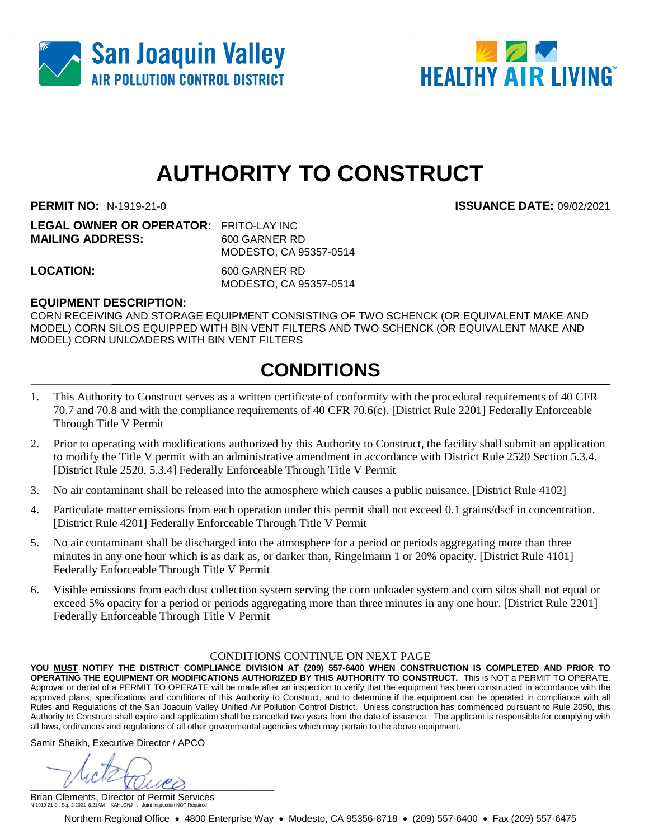



**PERMIT NO:** N-1919-21-0 **ISSUANCE DATE:** 09/02/2021

**LEGAL OWNER OR OPERATOR:** FRITO-LAY INC **MAILING ADDRESS:** 600 GARNER RD MODESTO, CA 95357-0514

**LOCATION:** 600 GARNER RD MODESTO, CA 95357-0514

### **EQUIPMENT DESCRIPTION:**

CORN RECEIVING AND STORAGE EQUIPMENT CONSISTING OF TWO SCHENCK (OR EQUIVALENT MAKE AND MODEL) CORN SILOS EQUIPPED WITH BIN VENT FILTERS AND TWO SCHENCK (OR EQUIVALENT MAKE AND MODEL) CORN UNLOADERS WITH BIN VENT FILTERS

# **CONDITIONS**

- 1. This Authority to Construct serves as a written certificate of conformity with the procedural requirements of 40 CFR 70.7 and 70.8 and with the compliance requirements of 40 CFR 70.6(c). [District Rule 2201] Federally Enforceable Through Title V Permit
- 2. Prior to operating with modifications authorized by this Authority to Construct, the facility shall submit an application to modify the Title V permit with an administrative amendment in accordance with District Rule 2520 Section 5.3.4. [District Rule 2520, 5.3.4] Federally Enforceable Through Title V Permit
- 3. No air contaminant shall be released into the atmosphere which causes a public nuisance. [District Rule 4102]
- 4. Particulate matter emissions from each operation under this permit shall not exceed 0.1 grains/dscf in concentration. [District Rule 4201] Federally Enforceable Through Title V Permit
- 5. No air contaminant shall be discharged into the atmosphere for a period or periods aggregating more than three minutes in any one hour which is as dark as, or darker than, Ringelmann 1 or 20% opacity. [District Rule 4101] Federally Enforceable Through Title V Permit
- 6. Visible emissions from each dust collection system serving the corn unloader system and corn silos shall not equal or exceed 5% opacity for a period or periods aggregating more than three minutes in any one hour. [District Rule 2201] Federally Enforceable Through Title V Permit

#### CONDITIONS CONTINUE ON NEXT PAGE

**YOU MUST NOTIFY THE DISTRICT COMPLIANCE DIVISION AT (209) 557-6400 WHEN CONSTRUCTION IS COMPLETED AND PRIOR TO OPERATING THE EQUIPMENT OR MODIFICATIONS AUTHORIZED BY THIS AUTHORITY TO CONSTRUCT.** This is NOT a PERMIT TO OPERATE. Approval or denial of a PERMIT TO OPERATE will be made after an inspection to verify that the equipment has been constructed in accordance with the approved plans, specifications and conditions of this Authority to Construct, and to determine if the equipment can be operated in compliance with all Rules and Regulations of the San Joaquin Valley Unified Air Pollution Control District. Unless construction has commenced pursuant to Rule 2050, this Authority to Construct shall expire and application shall be cancelled two years from the date of issuance. The applicant is responsible for complying with all laws, ordinances and regulations of all other governmental agencies which may pertain to the above equipment.

Samir Sheikh, Executive Director / APCO

 $\mu$ une

Brian Clements, Director of Permit Services N-1919-21-0 : Sep 2 2021 8:21AM -- KAHLONJ : Joint Inspection NOT Required